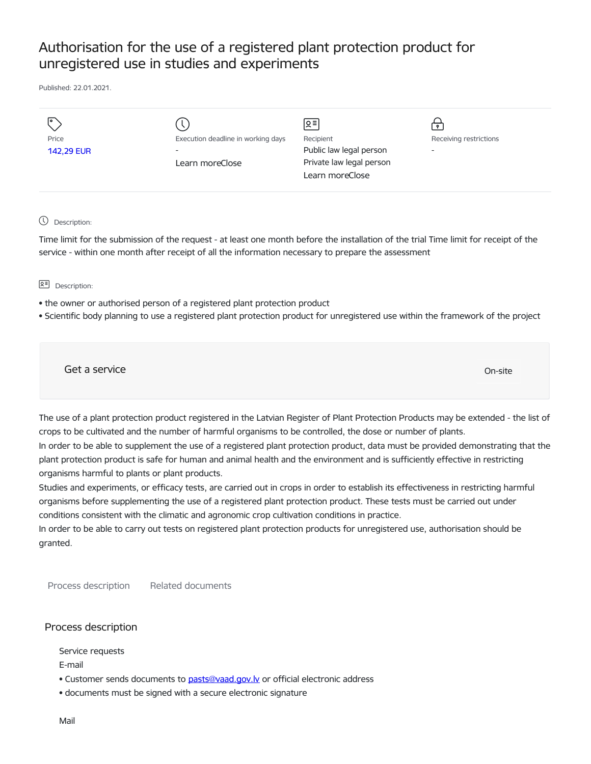# Authorisation for the use of a registered plant protection product for unregistered use in studies and experiments

Published: 22.01.2021.

|                            |                                                                                   | ∣হ≡∣                                                                                |                             |
|----------------------------|-----------------------------------------------------------------------------------|-------------------------------------------------------------------------------------|-----------------------------|
| Price<br><b>142,29 EUR</b> | Execution deadline in working days<br>$\overline{\phantom{0}}$<br>Learn moreClose | Recipient<br>Public law legal person<br>Private law legal person<br>Learn moreClose | Receiving restrictions<br>- |

Description:

Time limit for the submission of the request - at least one month before the installation of the trial Time limit for receipt of the service - within one month after receipt of all the information necessary to prepare the assessment

요<sup>리</sup> Description:

- the owner or authorised person of a registered plant protection product
- Scientific body planning to use a registered plant protection product for unregistered use within the framework of the project

Get a service On-site

The use of a plant protection product registered in the Latvian Register of Plant Protection Products may be extended - the list of crops to be cultivated and the number of harmful organisms to be controlled, the dose or number of plants.

In order to be able to supplement the use of a registered plant protection product, data must be provided demonstrating that the plant protection product is safe for human and animal health and the environment and is sufficiently effective in restricting organisms harmful to plants or plant products.

Studies and experiments, or efficacy tests, are carried out in crops in order to establish its effectiveness in restricting harmful organisms before supplementing the use of a registered plant protection product. These tests must be carried out under conditions consistent with the climatic and agronomic crop cultivation conditions in practice.

In order to be able to carry out tests on registered plant protection products for unregistered use, authorisation should be granted.

Process description Related documents

## Process description

Service requests

E-mail

- Customer sends documents to pasts@vaad.gov.ly or official electronic address
- documents must be signed with a secure electronic signature